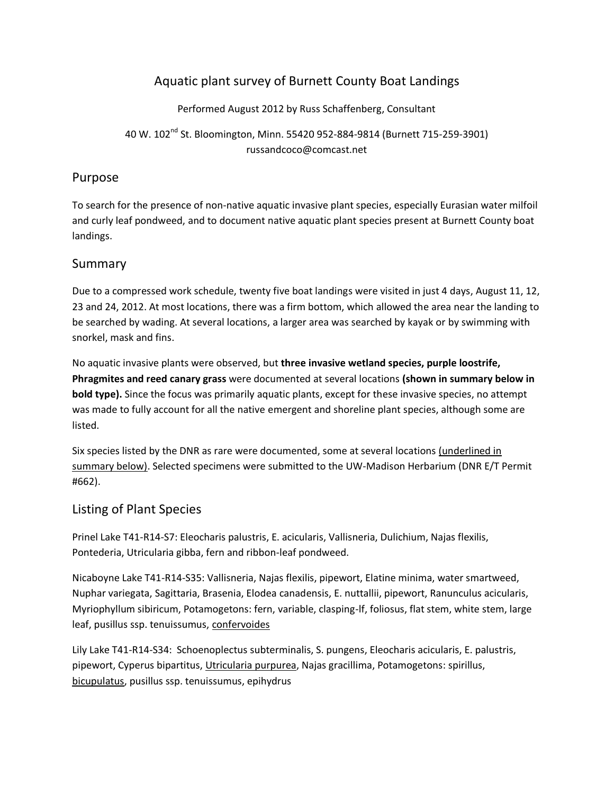## Aquatic plant survey of Burnett County Boat Landings

Performed August 2012 by Russ Schaffenberg, Consultant

40 W. 102<sup>nd</sup> St. Bloomington, Minn. 55420 952-884-9814 (Burnett 715-259-3901) russandcoco@comcast.net

## Purpose

To search for the presence of non-native aquatic invasive plant species, especially Eurasian water milfoil and curly leaf pondweed, and to document native aquatic plant species present at Burnett County boat landings.

## Summary

Due to a compressed work schedule, twenty five boat landings were visited in just 4 days, August 11, 12, 23 and 24, 2012. At most locations, there was a firm bottom, which allowed the area near the landing to be searched by wading. At several locations, a larger area was searched by kayak or by swimming with snorkel, mask and fins.

No aquatic invasive plants were observed, but **three invasive wetland species, purple loostrife, Phragmites and reed canary grass** were documented at several locations **(shown in summary below in bold type).** Since the focus was primarily aquatic plants, except for these invasive species, no attempt was made to fully account for all the native emergent and shoreline plant species, although some are listed.

Six species listed by the DNR as rare were documented, some at several locations (underlined in summary below). Selected specimens were submitted to the UW-Madison Herbarium (DNR E/T Permit #662).

## Listing of Plant Species

Prinel Lake T41-R14-S7: Eleocharis palustris, E. acicularis, Vallisneria, Dulichium, Najas flexilis, Pontederia, Utricularia gibba, fern and ribbon-leaf pondweed.

Nicaboyne Lake T41-R14-S35: Vallisneria, Najas flexilis, pipewort, Elatine minima, water smartweed, Nuphar variegata, Sagittaria, Brasenia, Elodea canadensis, E. nuttallii, pipewort, Ranunculus acicularis, Myriophyllum sibiricum, Potamogetons: fern, variable, clasping-lf, foliosus, flat stem, white stem, large leaf, pusillus ssp. tenuissumus, confervoides

Lily Lake T41-R14-S34: Schoenoplectus subterminalis, S. pungens, Eleocharis acicularis, E. palustris, pipewort, Cyperus bipartitus, Utricularia purpurea, Najas gracillima, Potamogetons: spirillus, bicupulatus, pusillus ssp. tenuissumus, epihydrus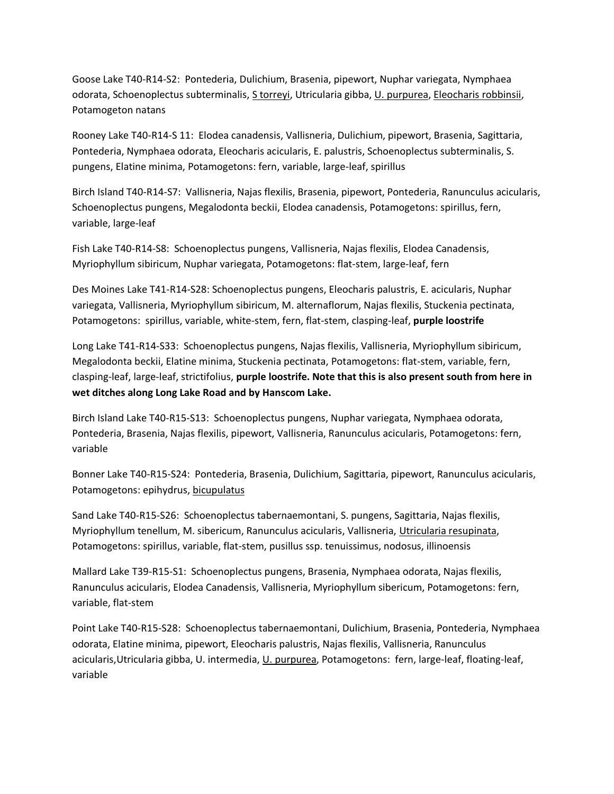Goose Lake T40-R14-S2: Pontederia, Dulichium, Brasenia, pipewort, Nuphar variegata, Nymphaea odorata, Schoenoplectus subterminalis, S torreyi, Utricularia gibba, U. purpurea, Eleocharis robbinsii, Potamogeton natans

Rooney Lake T40-R14-S 11: Elodea canadensis, Vallisneria, Dulichium, pipewort, Brasenia, Sagittaria, Pontederia, Nymphaea odorata, Eleocharis acicularis, E. palustris, Schoenoplectus subterminalis, S. pungens, Elatine minima, Potamogetons: fern, variable, large-leaf, spirillus

Birch Island T40-R14-S7: Vallisneria, Najas flexilis, Brasenia, pipewort, Pontederia, Ranunculus acicularis, Schoenoplectus pungens, Megalodonta beckii, Elodea canadensis, Potamogetons: spirillus, fern, variable, large-leaf

Fish Lake T40-R14-S8: Schoenoplectus pungens, Vallisneria, Najas flexilis, Elodea Canadensis, Myriophyllum sibiricum, Nuphar variegata, Potamogetons: flat-stem, large-leaf, fern

Des Moines Lake T41-R14-S28: Schoenoplectus pungens, Eleocharis palustris, E. acicularis, Nuphar variegata, Vallisneria, Myriophyllum sibiricum, M. alternaflorum, Najas flexilis, Stuckenia pectinata, Potamogetons: spirillus, variable, white-stem, fern, flat-stem, clasping-leaf, **purple loostrife**

Long Lake T41-R14-S33: Schoenoplectus pungens, Najas flexilis, Vallisneria, Myriophyllum sibiricum, Megalodonta beckii, Elatine minima, Stuckenia pectinata, Potamogetons: flat-stem, variable, fern, clasping-leaf, large-leaf, strictifolius, **purple loostrife. Note that this is also present south from here in wet ditches along Long Lake Road and by Hanscom Lake.**

Birch Island Lake T40-R15-S13: Schoenoplectus pungens, Nuphar variegata, Nymphaea odorata, Pontederia, Brasenia, Najas flexilis, pipewort, Vallisneria, Ranunculus acicularis, Potamogetons: fern, variable

Bonner Lake T40-R15-S24: Pontederia, Brasenia, Dulichium, Sagittaria, pipewort, Ranunculus acicularis, Potamogetons: epihydrus, bicupulatus

Sand Lake T40-R15-S26: Schoenoplectus tabernaemontani, S. pungens, Sagittaria, Najas flexilis, Myriophyllum tenellum, M. sibericum, Ranunculus acicularis, Vallisneria, Utricularia resupinata, Potamogetons: spirillus, variable, flat-stem, pusillus ssp. tenuissimus, nodosus, illinoensis

Mallard Lake T39-R15-S1: Schoenoplectus pungens, Brasenia, Nymphaea odorata, Najas flexilis, Ranunculus acicularis, Elodea Canadensis, Vallisneria, Myriophyllum sibericum, Potamogetons: fern, variable, flat-stem

Point Lake T40-R15-S28: Schoenoplectus tabernaemontani, Dulichium, Brasenia, Pontederia, Nymphaea odorata, Elatine minima, pipewort, Eleocharis palustris, Najas flexilis, Vallisneria, Ranunculus acicularis, Utricularia gibba, U. intermedia, U. purpurea, Potamogetons: fern, large-leaf, floating-leaf, variable